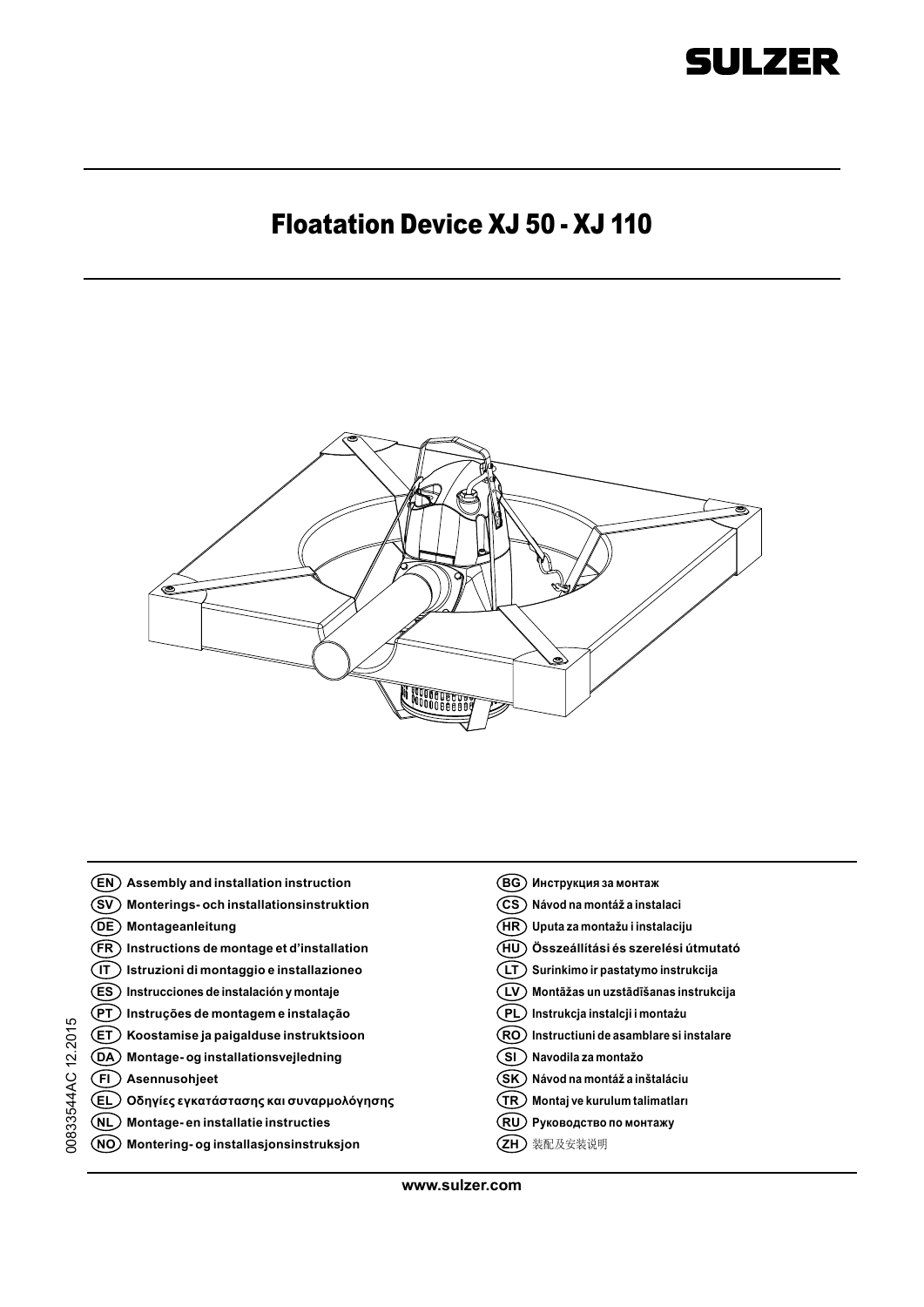

### Floatation Device XJ 50 - XJ 110



**EN Assembly and installation instruction BG Инструкция за монтаж SV Monterings- och installationsinstruktion CS Návod na montáž a instalaci DE Montageanleitung HR Uputa za montažu i instalaciju HU Összeállítási és szerelési útmutató FR Instructions de montage et d'installation IT Istruzioni di montaggio e installazioneo LT Surinkimo ir pastatymo instrukcija ES Instrucciones de instalación y montaje LV Montāžas un uzstādīšanas instrukcija PT Instruções de montagem e instalação PL Instrukcja instalcji i montażu** 0833544AC 12.2015 00833544AC 12.2015 **RO Instructiuni de asamblare si instalare ET Koostamise ja paigalduse instruktsioon DA Montage- og installationsvejledning SI Navodila za montažo FI Asennusohjeet SK Návod na montáž a inštaláciu EL Οδηγίες εγκατάστασης και συναρμολόγησης TR Montaj ve kurulum talimatları NL Montage- en installatie instructies RU Руководство по монтажу NO Montering- og installasjonsinstruksjon ZH** 装配及安装说明

**www.sulzer.com**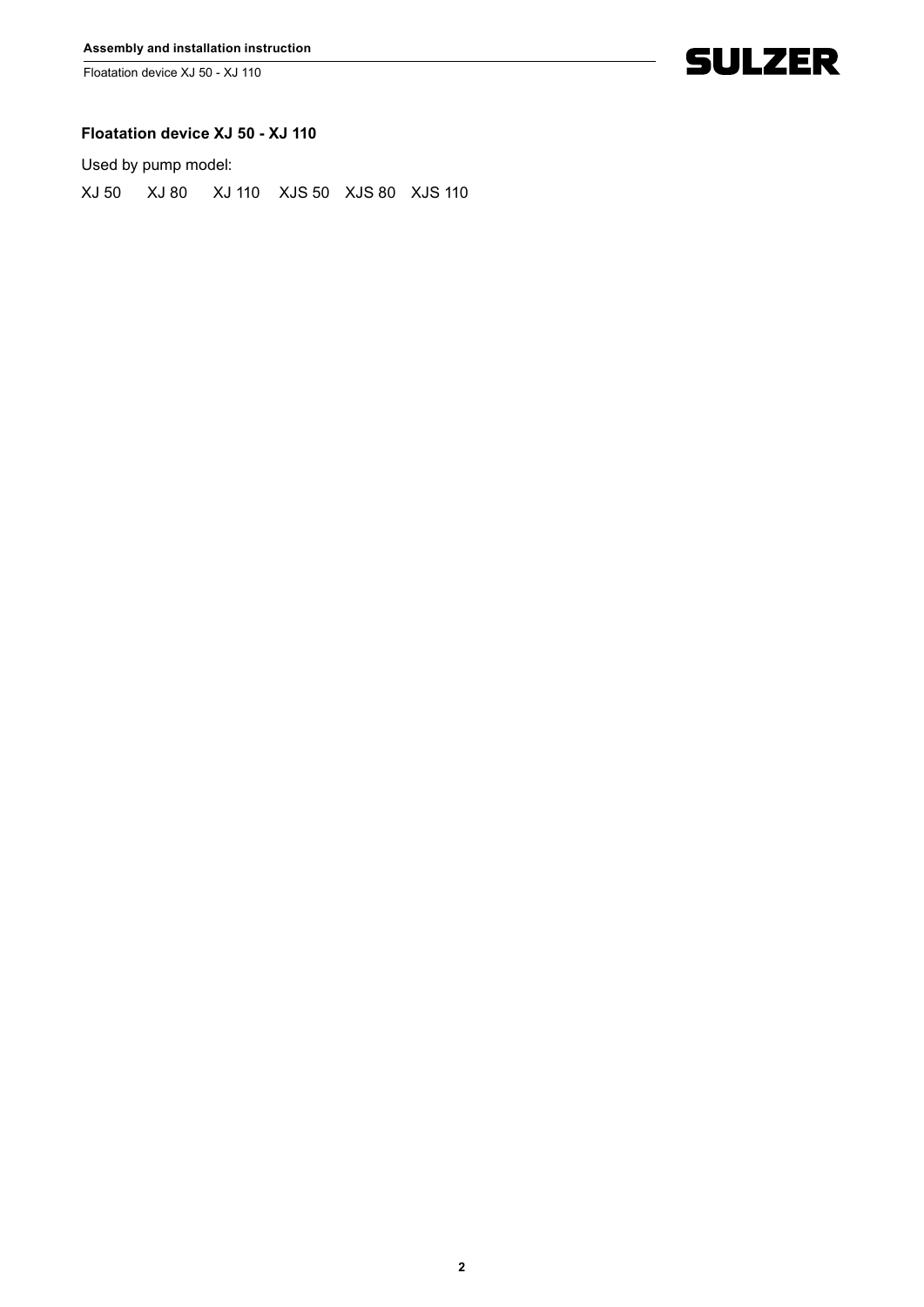Floatation device XJ 50 - XJ 110



#### **Floatation device XJ 50 - XJ 110**

Used by pump model:

XJ 50 XJ 80 XJ 110 XJS 50 XJS 80 XJS 110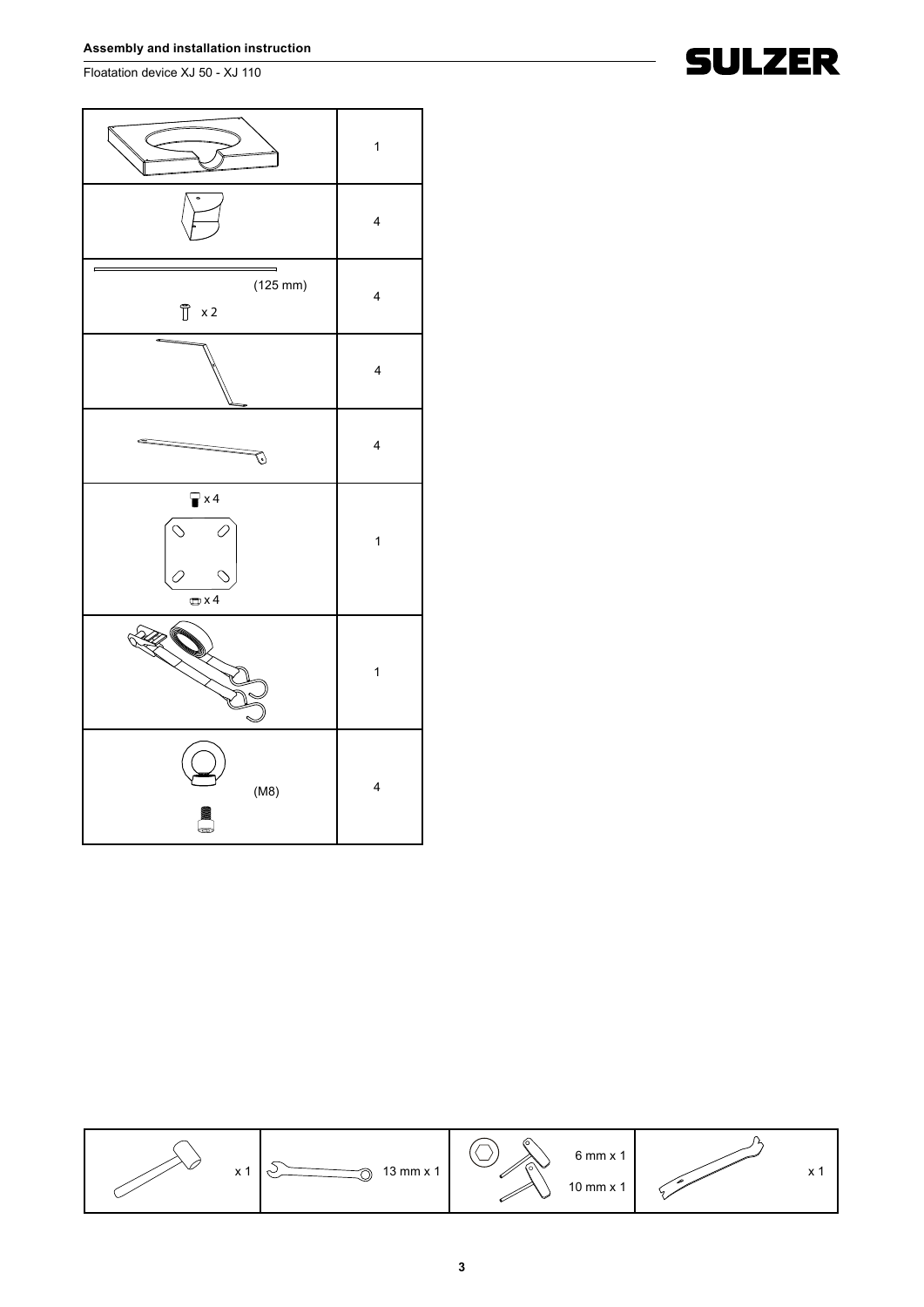Floatation device XJ 50 - XJ 110





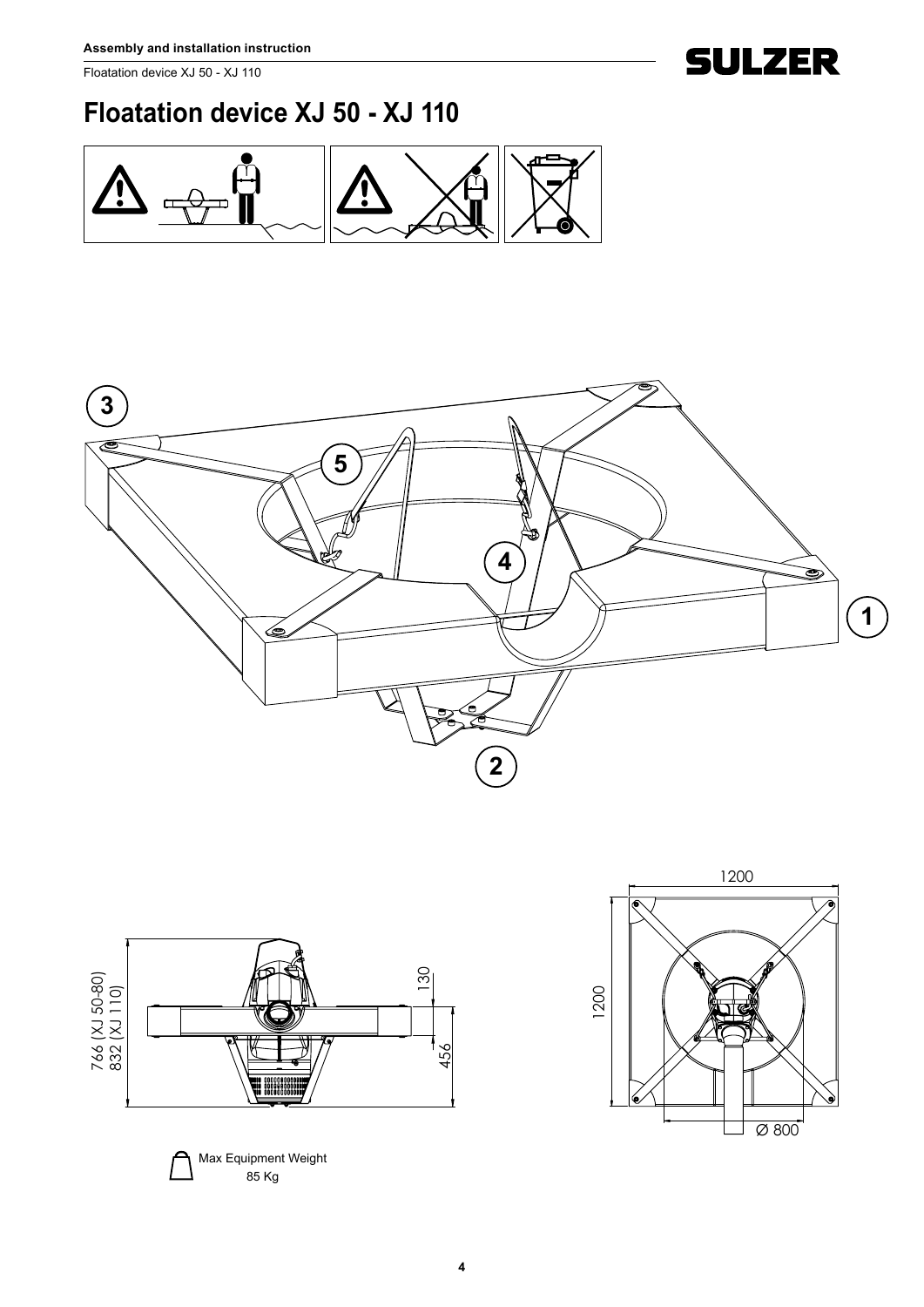Floatation device XJ 50 - XJ 110

## **Floatation device XJ 50 - XJ 110**









**SULZER**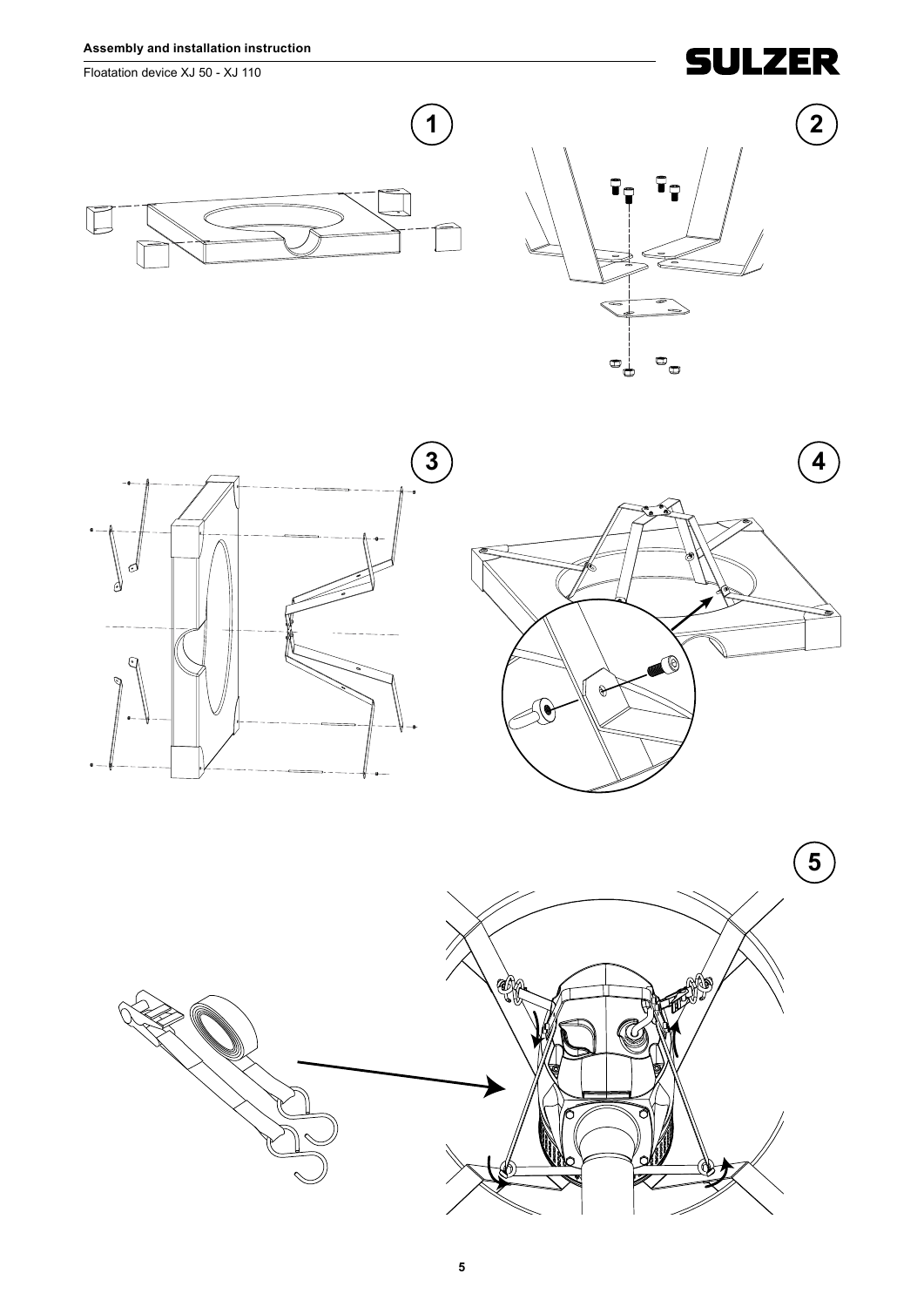Floatation device XJ 50 - XJ 110

# **SULZER**